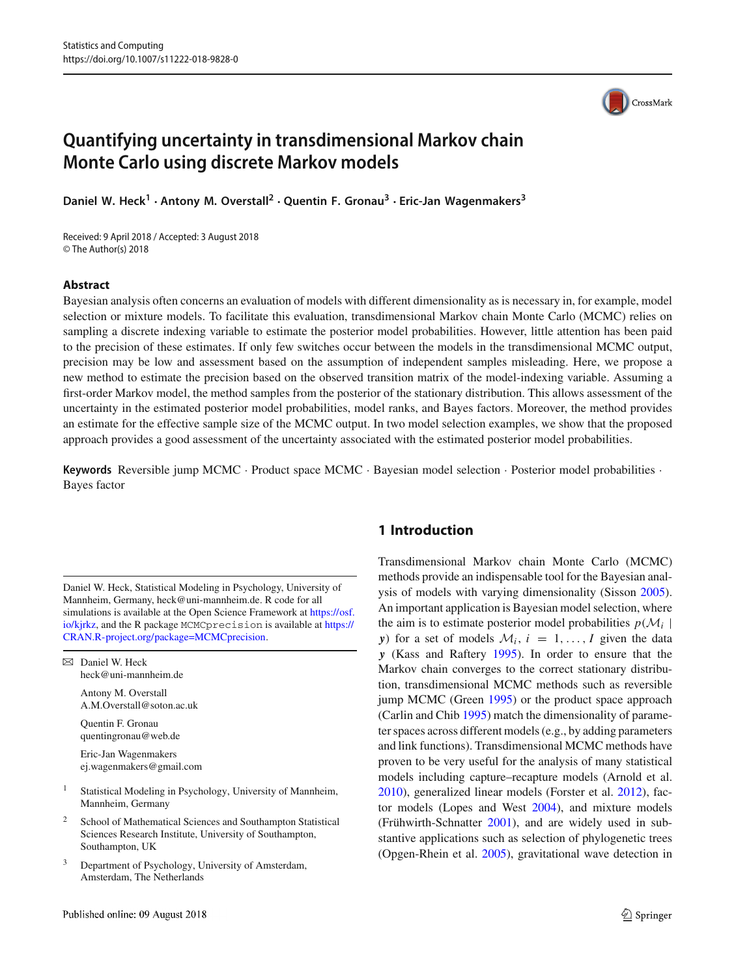# **Quantifying uncertainty in transdimensional Markov chain Monte Carlo using discrete Markov models**

**Daniel W. Heck<sup>1</sup>** · **Antony M. Overstall<sup>2</sup>** · **Quentin F. Gronau<sup>3</sup>** · **Eric-Jan Wagenmakers<sup>3</sup>**

Received: 9 April 2018 / Accepted: 3 August 2018 © The Author(s) 2018

#### **Abstract**

Bayesian analysis often concerns an evaluation of models with different dimensionality as is necessary in, for example, model selection or mixture models. To facilitate this evaluation, transdimensional Markov chain Monte Carlo (MCMC) relies on sampling a discrete indexing variable to estimate the posterior model probabilities. However, little attention has been paid to the precision of these estimates. If only few switches occur between the models in the transdimensional MCMC output, precision may be low and assessment based on the assumption of independent samples misleading. Here, we propose a new method to estimate the precision based on the observed transition matrix of the model-indexing variable. Assuming a first-order Markov model, the method samples from the posterior of the stationary distribution. This allows assessment of the uncertainty in the estimated posterior model probabilities, model ranks, and Bayes factors. Moreover, the method provides an estimate for the effective sample size of the MCMC output. In two model selection examples, we show that the proposed approach provides a good assessment of the uncertainty associated with the estimated posterior model probabilities.

**Keywords** Reversible jump MCMC · Product space MCMC · Bayesian model selection · Posterior model probabilities · Bayes factor

Daniel W. Heck, Statistical Modeling in Psychology, University of Mannheim, Germany, heck@uni-mannheim.de. R code for all simulations is available at the Open Science Framework at [https://osf.](https://osf.io/kjrkz) [io/kjrkz,](https://osf.io/kjrkz) and the R package MCMCprecision is available at [https://](https://CRAN.R-project.org/package=MCMCprecision) [CRAN.R-project.org/package=MCMCprecision.](https://CRAN.R-project.org/package=MCMCprecision)

 $\boxtimes$  Daniel W. Heck heck@uni-mannheim.de

> Antony M. Overstall A.M.Overstall@soton.ac.uk

Quentin F. Gronau quentingronau@web.de

Eric-Jan Wagenmakers ej.wagenmakers@gmail.com

- <sup>1</sup> Statistical Modeling in Psychology, University of Mannheim, Mannheim, Germany
- School of Mathematical Sciences and Southampton Statistical Sciences Research Institute, University of Southampton, Southampton, UK
- <sup>3</sup> Department of Psychology, University of Amsterdam, Amsterdam, The Netherlands

# **1 Introduction**

Transdimensional Markov chain Monte Carlo (MCMC) methods provide an indispensable tool for the Bayesian analysis of models with varying dimensionality (Sisso[n](#page-12-0) [2005](#page-12-0)). An important application is Bayesian model selection, where the aim is to estimate posterior model probabilities  $p(\mathcal{M}_i |$ *y*) for a set of models  $\mathcal{M}_i$ ,  $i = 1, ..., I$  given the data *y* (Kass and Rafter[y](#page-11-0) [1995\)](#page-11-0). In order to ensure that the Markov chain converges to the correct stationary distribution, transdimensional MCMC methods such as reversible jump MCMC (Gree[n](#page-11-1) [1995](#page-11-1)) or the product space approach (Carlin and Chi[b](#page-11-2) [1995](#page-11-2)) match the dimensionality of parameter spaces across different models (e.g., by adding parameters and link functions). Transdimensional MCMC methods have proven to be very useful for the analysis of many statistical models including capture–recapture models (Arnold et al[.](#page-11-3) [2010](#page-11-3)), generalized linear models (Forster et al[.](#page-11-4) [2012\)](#page-11-4), factor models (Lopes and Wes[t](#page-11-5) [2004\)](#page-11-5), and mixture models (Frühwirth-Schnatte[r](#page-11-6) [2001\)](#page-11-6), and are widely used in substantive applications such as selection of phylogenetic trees (Opgen-Rhein et al[.](#page-11-7) [2005](#page-11-7)), gravitational wave detection in

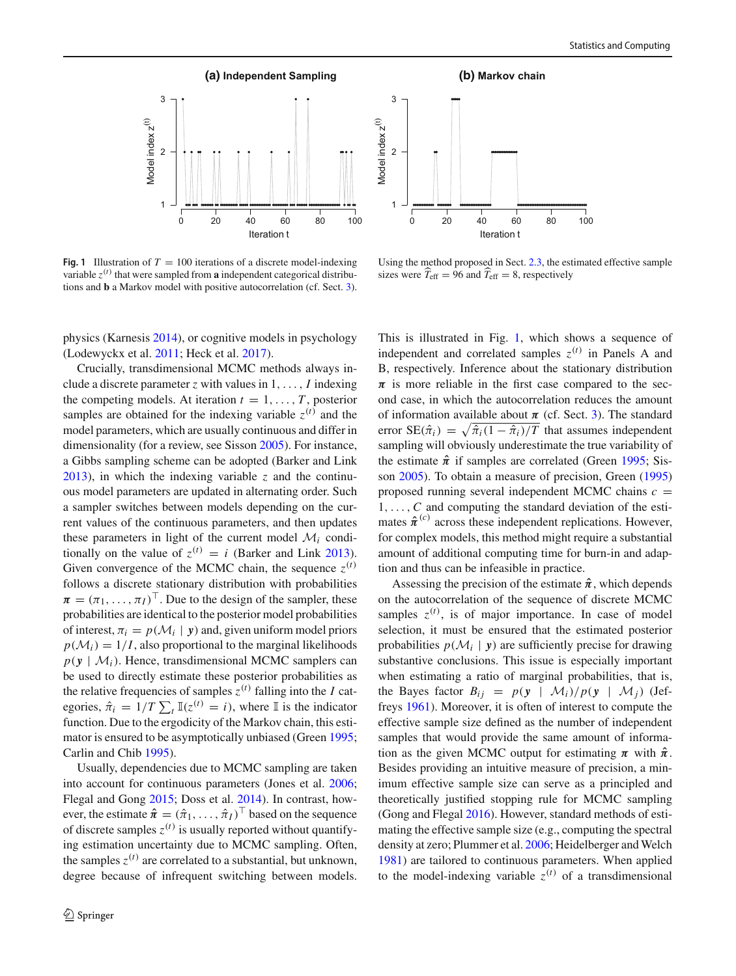

<span id="page-1-0"></span>**Fig. 1** Illustration of  $T = 100$  iterations of a discrete model-indexing variable  $z^{(t)}$  that were sampled from **a** independent categorical distributions and **b** a Markov model with positive autocorrelation (cf. Sect. [3\)](#page-5-0).



Using the method proposed in Sect. [2.3,](#page-4-0) the estimated effective sample sizes were  $T_{\text{eff}} = 96$  and  $T_{\text{eff}} = 8$ , respectively

physics (Karnesi[s](#page-11-8) [2014\)](#page-11-8), or cognitive models in psychology (Lodewyckx et al[.](#page-11-9) [2011](#page-11-9); Heck et al[.](#page-11-10) [2017\)](#page-11-10).

Crucially, transdimensional MCMC methods always include a discrete parameter *z* with values in 1,..., *I* indexing the competing models. At iteration  $t = 1, \ldots, T$ , posterior samples are obtained for the indexing variable  $z^{(t)}$  and the model parameters, which are usually continuous and differ in dimensionality (for a review, see Sisso[n](#page-12-0) [2005](#page-12-0)). For instance, a Gibbs sampling scheme can be adopted (Barker and Lin[k](#page-11-11) [2013\)](#page-11-11), in which the indexing variable *z* and the continuous model parameters are updated in alternating order. Such a sampler switches between models depending on the current values of the continuous parameters, and then updates these parameters in light of the current model  $\mathcal{M}_i$  conditionally on the value of  $z^{(t)} = i$  (Bar[k](#page-11-11)er and Link [2013](#page-11-11)). Given convergence of the MCMC chain, the sequence  $z^{(t)}$ follows a discrete stationary distribution with probabilities  $\boldsymbol{\pi} = (\pi_1, \dots, \pi_I)^\top$ . Due to the design of the sampler, these probabilities are identical to the posterior model probabilities of interest,  $\pi_i = p(\mathcal{M}_i | y)$  and, given uniform model priors  $p(\mathcal{M}_i) = 1/I$ , also proportional to the marginal likelihoods  $p(y \mid \mathcal{M}_i)$ . Hence, transdimensional MCMC samplers can be used to directly estimate these posterior probabilities as the relative frequencies of samples  $z^{(t)}$  falling into the *I* categories,  $\hat{\pi}_i = 1/T \sum_t \mathbb{I}(z^{(t)} = i)$ , where  $\mathbb{I}$  is the indicator function. Due to the ergodicity of the Markov chain, this estimator is ensured to be asymptotically unbiased (Gree[n](#page-11-1) [1995](#page-11-1); Carlin and Chi[b](#page-11-2) [1995](#page-11-2)).

Usually, dependencies due to MCMC sampling are taken into account for continuous parameters (Jones et al[.](#page-11-12) [2006](#page-11-12); Flegal and Gon[g](#page-11-13) [2015;](#page-11-13) Doss et al[.](#page-11-14) [2014](#page-11-14)). In contrast, however, the estimate  $\hat{\boldsymbol{\pi}} = (\hat{\pi}_1, \dots, \hat{\pi}_I)^\top$  based on the sequence of discrete samples  $z^{(t)}$  is usually reported without quantifying estimation uncertainty due to MCMC sampling. Often, the samples  $z^{(t)}$  are correlated to a substantial, but unknown, degree because of infrequent switching between models. This is illustrated in Fig. [1,](#page-1-0) which shows a sequence of independent and correlated samples  $z^{(t)}$  in Panels A and B, respectively. Inference about the stationary distribution  $\pi$  is more reliable in the first case compared to the second case, in which the autocorrelation reduces the amount of information available about  $\pi$  (cf. Sect. [3\)](#page-5-0). The standard error  $SE(\hat{\pi}_i) = \sqrt{\hat{\pi}_i(1 - \hat{\pi}_i)/T}$  that assumes independent sampling will obviously underestimate the true variability of the estimate  $\hat{\pi}$  if samples are correlated (Gree[n](#page-11-1) [1995;](#page-11-1) Sisso[n](#page-12-0) [2005\)](#page-12-0). To obtain a measure of precision, Gree[n \(1995\)](#page-11-1) proposed running several independent MCMC chains  $c =$ 1,...,*C* and computing the standard deviation of the estimates  $\hat{\pi}^{(c)}$  across these independent replications. However, for complex models, this method might require a substantial amount of additional computing time for burn-in and adaption and thus can be infeasible in practice.

Assessing the precision of the estimate  $\hat{\pi}$ , which depends on the autocorrelation of the sequence of discrete MCMC samples  $z^{(t)}$ , is of major importance. In case of model selection, it must be ensured that the estimated posterior probabilities  $p(\mathcal{M}_i | y)$  are sufficiently precise for drawing substantive conclusions. This issue is especially important when estimating a ratio of marginal probabilities, that is, the Bayes factor  $B_{ij} = p(y \mid \mathcal{M}_i)/p(y \mid \mathcal{M}_i)$  (Jeffrey[s](#page-11-15) [1961\)](#page-11-15). Moreover, it is often of interest to compute the effective sample size defined as the number of independent samples that would provide the same amount of information as the given MCMC output for estimating  $\pi$  with  $\hat{\pi}$ . Besides providing an intuitive measure of precision, a minimum effective sample size can serve as a principled and theoretically justified stopping rule for MCMC sampling (Gong and Flega[l](#page-11-16) [2016\)](#page-11-16). However, standard methods of estimating the effective sample size (e.g., computing the spectral density at zero; Plummer et al[.](#page-11-17) [2006](#page-11-17); Heidelberger and Welc[h](#page-11-18) [1981](#page-11-18)) are tailored to continuous parameters. When applied to the model-indexing variable  $z^{(t)}$  of a transdimensional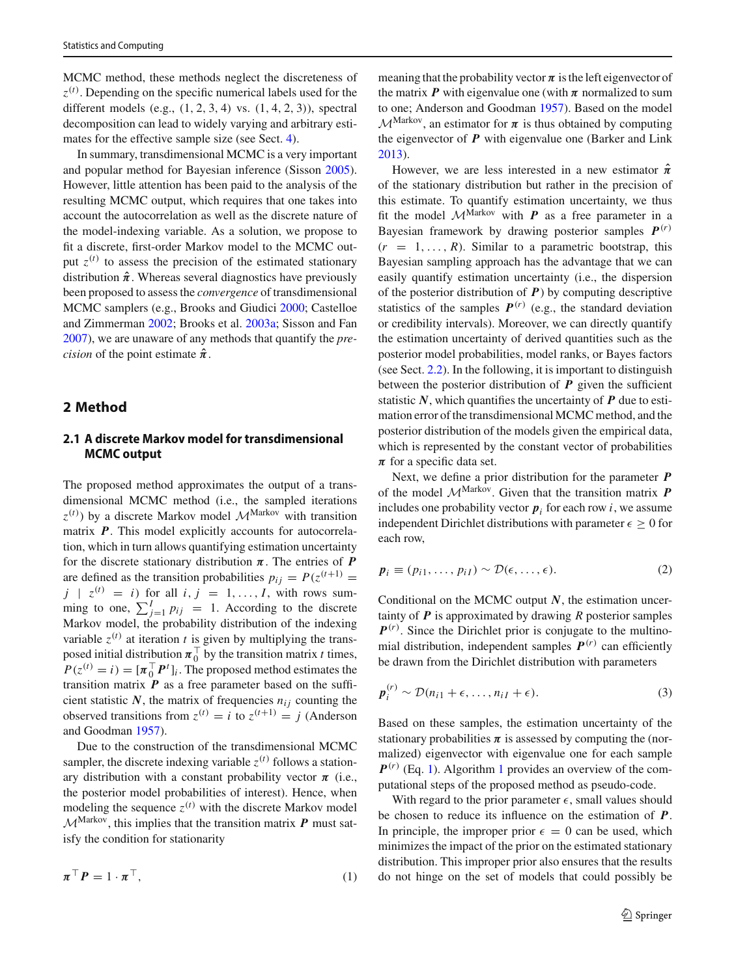MCMC method, these methods neglect the discreteness of *z* (*t*) . Depending on the specific numerical labels used for the different models (e.g.,  $(1, 2, 3, 4)$  vs.  $(1, 4, 2, 3)$ ), spectral decomposition can lead to widely varying and arbitrary estimates for the effective sample size (see Sect. [4\)](#page-5-1).

In summary, transdimensional MCMC is a very important and popular method for Bayesian inference (Sisso[n](#page-12-0) [2005](#page-12-0)). However, little attention has been paid to the analysis of the resulting MCMC output, which requires that one takes into account the autocorrelation as well as the discrete nature of the model-indexing variable. As a solution, we propose to fit a discrete, first-order Markov model to the MCMC output  $z^{(t)}$  to assess the precision of the estimated stationary distribution  $\hat{\pi}$ . Whereas several diagnostics have previously been proposed to assess the *convergence* of transdimensional MCMC samplers (e.g., Brooks and Giudic[i](#page-11-19) [2000;](#page-11-19) Castelloe and Zimmerma[n](#page-11-20) [2002;](#page-11-20) Brooks et al[.](#page-11-21) [2003a](#page-11-21); Sisson and Fa[n](#page-12-1) [2007\)](#page-12-1), we are unaware of any methods that quantify the *precision* of the point estimate  $\hat{\pi}$ .

#### **2 Method**

# **2.1 A discrete Markov model for transdimensional MCMC output**

The proposed method approximates the output of a transdimensional MCMC method (i.e., the sampled iterations  $z^{(t)}$ ) by a discrete Markov model  $\mathcal{M}^{\text{Markov}}$  with transition matrix *P*. This model explicitly accounts for autocorrelation, which in turn allows quantifying estimation uncertainty for the discrete stationary distribution  $\pi$ . The entries of **P** are defined as the transition probabilities  $p_{ij} = P(z^{(t+1)})$  $j \mid z^{(t)} = i$  for all  $i, j = 1, \ldots, I$ , with rows summing to one,  $\sum_{j=1}^{I} p_{ij} = 1$ . According to the discrete Markov model, the probability distribution of the indexing variable  $z^{(t)}$  at iteration *t* is given by multiplying the transposed initial distribution  $\pi_0^{\top}$  by the transition matrix *t* times,  $P(z^{(t)} = i) = [\pi_0^\top P^t]_i$ . The proposed method estimates the transition matrix  $P$  as a free parameter based on the sufficient statistic  $N$ , the matrix of frequencies  $n_{ij}$  counting the observed transitions from  $z^{(t)} = i$  to  $z^{(t+1)} = j$  (Anderson and Goodma[n](#page-11-22) [1957\)](#page-11-22).

Due to the construction of the transdimensional MCMC sampler, the discrete indexing variable  $z^{(t)}$  follows a stationary distribution with a constant probability vector  $\pi$  (i.e., the posterior model probabilities of interest). Hence, when modeling the sequence  $z^{(t)}$  with the discrete Markov model  $M^{\text{Markov}}$ , this implies that the transition matrix  $P$  must satisfy the condition for stationarity

$$
\boldsymbol{\pi}^{\top}\boldsymbol{P} = 1 \cdot \boldsymbol{\pi}^{\top},\tag{1}
$$

meaning that the probability vector  $\pi$  is the left eigenvector of the matrix  $P$  with eigenvalue one (with  $\pi$  normalized to sum to one; Anderson and Goodma[n](#page-11-22) [1957\)](#page-11-22). Based on the model  $\mathcal{M}^{\text{Markov}}$ , an estimator for  $\pi$  is thus obtained by computing the eigenvector of *P* with eigenvalue one (Barker and Lin[k](#page-11-11) [2013](#page-11-11)).

However, we are less interested in a new estimator  $\hat{\pi}$ of the stationary distribution but rather in the precision of this estimate. To quantify estimation uncertainty, we thus fit the model  $M^{\text{Markov}}$  with *P* as a free parameter in a Bayesian framework by drawing posterior samples  $P^{(r)}$  $(r = 1, \ldots, R)$ . Similar to a parametric bootstrap, this Bayesian sampling approach has the advantage that we can easily quantify estimation uncertainty (i.e., the dispersion of the posterior distribution of *P*) by computing descriptive statistics of the samples  $P^{(r)}$  (e.g., the standard deviation or credibility intervals). Moreover, we can directly quantify the estimation uncertainty of derived quantities such as the posterior model probabilities, model ranks, or Bayes factors (see Sect. [2.2\)](#page-3-0). In the following, it is important to distinguish between the posterior distribution of  *given the sufficient* statistic  $N$ , which quantifies the uncertainty of  $P$  due to estimation error of the transdimensional MCMC method, and the posterior distribution of the models given the empirical data, which is represented by the constant vector of probabilities  $\pi$  for a specific data set.

Next, we define a prior distribution for the parameter *P* of the model  $M^{\text{Markov}}$ . Given that the transition matrix **P** includes one probability vector  $p_i$  for each row *i*, we assume independent Dirichlet distributions with parameter  $\epsilon \geq 0$  for each row,

<span id="page-2-1"></span>
$$
\boldsymbol{p}_i \equiv (p_{i1}, \dots, p_{iI}) \sim \mathcal{D}(\epsilon, \dots, \epsilon). \tag{2}
$$

Conditional on the MCMC output *N*, the estimation uncertainty of *P* is approximated by drawing *R* posterior samples  $P<sup>(r)</sup>$ . Since the Dirichlet prior is conjugate to the multinomial distribution, independent samples  $P<sup>(r)</sup>$  can efficiently be drawn from the Dirichlet distribution with parameters

<span id="page-2-2"></span>
$$
\boldsymbol{p}_i^{(r)} \sim \mathcal{D}(n_{i1} + \epsilon, \dots, n_{iI} + \epsilon). \tag{3}
$$

Based on these samples, the estimation uncertainty of the stationary probabilities  $\pi$  is assessed by computing the (normalized) eigenvector with eigenvalue one for each sample  $P^{(r)}$  (Eq. [1\)](#page-2-0). Algorithm [1](#page-3-1) provides an overview of the computational steps of the proposed method as pseudo-code.

<span id="page-2-0"></span>With regard to the prior parameter  $\epsilon$ , small values should be chosen to reduce its influence on the estimation of *P*. In principle, the improper prior  $\epsilon = 0$  can be used, which minimizes the impact of the prior on the estimated stationary distribution. This improper prior also ensures that the results do not hinge on the set of models that could possibly be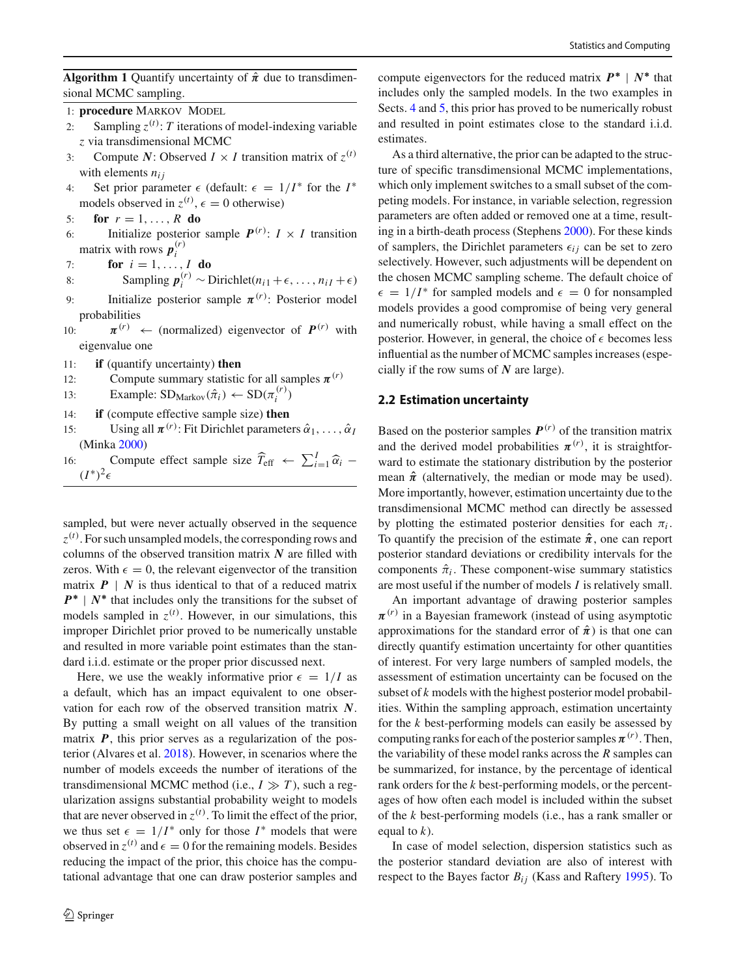<span id="page-3-1"></span>**Algorithm 1** Quantify uncertainty of  $\hat{\pi}$  due to transdimensional MCMC sampling.

1: **procedure** MARKOV MODEL

- 2: Sampling  $z^{(t)}$ : *T* iterations of model-indexing variable *z* via transdimensional MCMC
- 3: Compute *N*: Observed  $I \times I$  transition matrix of  $z^{(t)}$ with elements  $n_{ij}$
- 4: Set prior parameter  $\epsilon$  (default:  $\epsilon = 1/I^*$  for the  $I^*$ models observed in  $z^{(t)}$ ,  $\epsilon = 0$  otherwise)
- 5: **for**  $r = 1, ..., R$  **do**
- 6: Initialize posterior sample  $P^{(r)}$ :  $I \times I$  transition matrix with rows  $p_i^{(r)}$
- $\int$ <sup>7</sup>: **for**  $i = 1, ..., I$  **do**
- 8: Sampling  $p_i^{(r)} \sim \text{Dirichlet}(n_{i1} + \epsilon, \ldots, n_{iI} + \epsilon)$
- 9: Initialize posterior sample  $\pi^{(r)}$ : Posterior model probabilities
- $10:$  $(r) \leftarrow$  (normalized) eigenvector of  $P^{(r)}$  with eigenvalue one
- 11: **if** (quantify uncertainty) **then**
- 12: Compute summary statistic for all samples  $\pi^{(r)}$
- 13: Example:  $SD_{Markov}(\hat{\pi}_i) \leftarrow SD(\pi_i^{(r)})$
- 14: **if** (compute effective sample size) **then**
- 15: Using all  $\pi^{(r)}$ : Fit Dirichlet parameters  $\hat{\alpha}_1, \ldots, \hat{\alpha}_I$ (Mink[a](#page-11-23) [2000\)](#page-11-23)
- 16: Compute effect sample size  $\hat{T}_{\text{eff}} \leftarrow \sum_{i=1}^{I} \hat{\alpha}_i \sum_{i=1}^{I} \hat{\alpha}_i$  $(I^*)^2$ ∈

sampled, but were never actually observed in the sequence *z* (*t*) . For such unsampled models, the corresponding rows and columns of the observed transition matrix *N* are filled with zeros. With  $\epsilon = 0$ , the relevant eigenvector of the transition matrix  $P \mid N$  is thus identical to that of a reduced matrix *P*<sup>\*</sup> | *N*<sup>\*</sup> that includes only the transitions for the subset of models sampled in  $z^{(t)}$ . However, in our simulations, this improper Dirichlet prior proved to be numerically unstable and resulted in more variable point estimates than the standard i.i.d. estimate or the proper prior discussed next.

Here, we use the weakly informative prior  $\epsilon = 1/I$  as a default, which has an impact equivalent to one observation for each row of the observed transition matrix *N*. By putting a small weight on all values of the transition matrix *P*, this prior serves as a regularization of the posterior (Alvares et al[.](#page-11-24) [2018\)](#page-11-24). However, in scenarios where the number of models exceeds the number of iterations of the transdimensional MCMC method (i.e.,  $I \gg T$ ), such a regularization assigns substantial probability weight to models that are never observed in  $z^{(t)}$ . To limit the effect of the prior, we thus set  $\epsilon = 1/I^*$  only for those  $I^*$  models that were observed in  $z^{(t)}$  and  $\epsilon = 0$  for the remaining models. Besides reducing the impact of the prior, this choice has the computational advantage that one can draw posterior samples and

compute eigenvectors for the reduced matrix  $P^*$  |  $N^*$  that includes only the sampled models. In the two examples in Sects. [4](#page-5-1) and [5,](#page-9-0) this prior has proved to be numerically robust and resulted in point estimates close to the standard i.i.d. estimates.

As a third alternative, the prior can be adapted to the structure of specific transdimensional MCMC implementations, which only implement switches to a small subset of the competing models. For instance, in variable selection, regression parameters are often added or removed one at a time, resulting in a birth-death process (Stephen[s](#page-12-2) [2000](#page-12-2)). For these kinds of samplers, the Dirichlet parameters  $\epsilon_{ij}$  can be set to zero selectively. However, such adjustments will be dependent on the chosen MCMC sampling scheme. The default choice of  $\epsilon = 1/I^*$  for sampled models and  $\epsilon = 0$  for nonsampled models provides a good compromise of being very general and numerically robust, while having a small effect on the posterior. However, in general, the choice of  $\epsilon$  becomes less influential as the number of MCMC samples increases (especially if the row sums of *N* are large).

#### <span id="page-3-0"></span>**2.2 Estimation uncertainty**

Based on the posterior samples  $P^{(r)}$  of the transition matrix and the derived model probabilities  $\pi^{(r)}$ , it is straightforward to estimate the stationary distribution by the posterior mean  $\hat{\pi}$  (alternatively, the median or mode may be used). More importantly, however, estimation uncertainty due to the transdimensional MCMC method can directly be assessed by plotting the estimated posterior densities for each  $\pi_i$ . To quantify the precision of the estimate  $\hat{\pi}$ , one can report posterior standard deviations or credibility intervals for the components  $\hat{\pi}_i$ . These component-wise summary statistics are most useful if the number of models *I* is relatively small.

An important advantage of drawing posterior samples  $\pi^{(r)}$  in a Bayesian framework (instead of using asymptotic approximations for the standard error of  $\hat{\pi}$ ) is that one can directly quantify estimation uncertainty for other quantities of interest. For very large numbers of sampled models, the assessment of estimation uncertainty can be focused on the subset of *k* models with the highest posterior model probabilities. Within the sampling approach, estimation uncertainty for the *k* best-performing models can easily be assessed by computing ranks for each of the posterior samples  $\pi^{(r)}$ . Then, the variability of these model ranks across the *R* samples can be summarized, for instance, by the percentage of identical rank orders for the *k* best-performing models, or the percentages of how often each model is included within the subset of the *k* best-performing models (i.e., has a rank smaller or equal to *k*).

In case of model selection, dispersion statistics such as the posterior standard deviation are also of interest with respect to the Ba[y](#page-11-0)es factor  $B_{ij}$  (Kass and Raftery [1995\)](#page-11-0). To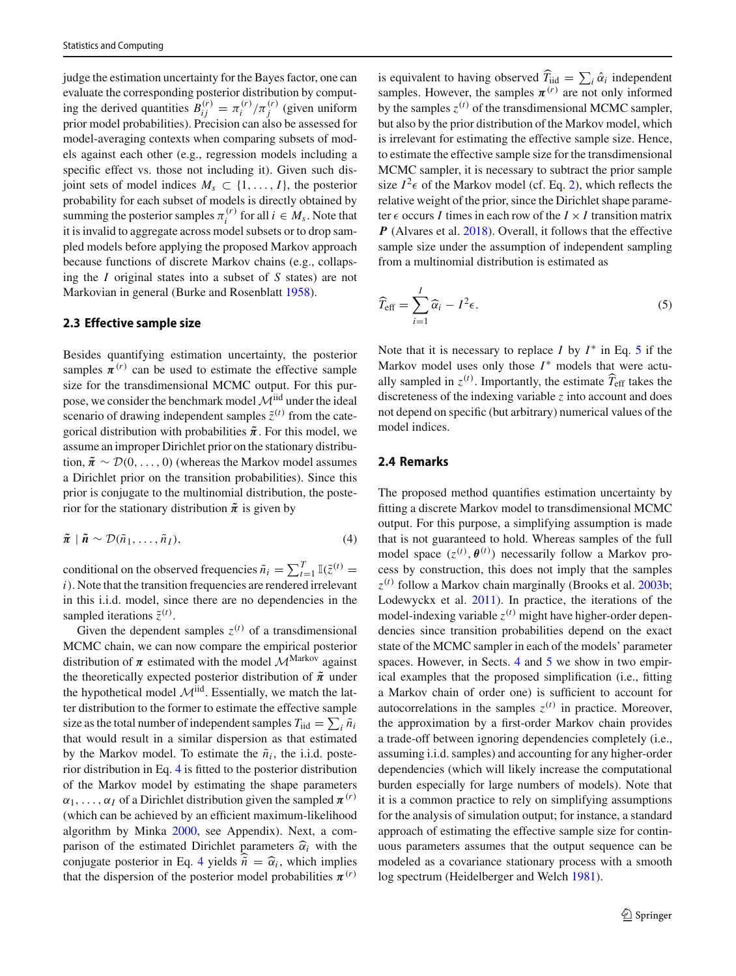judge the estimation uncertainty for the Bayes factor, one can evaluate the corresponding posterior distribution by computing the derived quantities  $B_{ij}^{(r)} = \pi_i^{(r)}$  $\int_{i}^{(r)} / \pi_j^{(r)}$  (given uniform prior model probabilities). Precision can also be assessed for model-averaging contexts when comparing subsets of models against each other (e.g., regression models including a specific effect vs. those not including it). Given such disjoint sets of model indices  $M_s \subset \{1, \ldots, I\}$ , the posterior probability for each subset of models is directly obtained by summing the posterior samples  $\pi_i^{(r)}$  $i_i^{(r)}$  for all  $i \in M_s$ . Note that it is invalid to aggregate across model subsets or to drop sampled models before applying the proposed Markov approach because functions of discrete Markov chains (e.g., collapsing the *I* original states into a subset of *S* states) are not Markovian in general (Burke and Rosenblat[t](#page-11-25) [1958\)](#page-11-25).

#### <span id="page-4-0"></span>**2.3 Effective sample size**

Besides quantifying estimation uncertainty, the posterior samples  $\pi^{(r)}$  can be used to estimate the effective sample size for the transdimensional MCMC output. For this purpose, we consider the benchmark model  $\mathcal{M}^{iid}$  under the ideal scenario of drawing independent samples  $\tilde{z}^{(t)}$  from the categorical distribution with probabilities  $\tilde{\pi}$ . For this model, we assume an improper Dirichlet prior on the stationary distribution,  $\tilde{\pi} \sim \mathcal{D}(0, \ldots, 0)$  (whereas the Markov model assumes a Dirichlet prior on the transition probabilities). Since this prior is conjugate to the multinomial distribution, the posterior for the stationary distribution  $\tilde{\pi}$  is given by

$$
\tilde{\pi} \mid \tilde{n} \sim \mathcal{D}(\tilde{n}_1, \dots, \tilde{n}_I), \tag{4}
$$

conditional on the observed frequencies  $\tilde{n}_i = \sum_{t=1}^T \mathbb{I}(\tilde{z}^{(t)})$ *i*). Note that the transition frequencies are rendered irrelevant in this i.i.d. model, since there are no dependencies in the sampled iterations  $\tilde{z}^{(t)}$ .

Given the dependent samples  $z^{(t)}$  of a transdimensional MCMC chain, we can now compare the empirical posterior distribution of  $\pi$  estimated with the model  $\mathcal{M}^{\text{Markov}}$  against the theoretically expected posterior distribution of  $\tilde{\pi}$  under the hypothetical model  $\mathcal{M}^{\text{iid}}$ . Essentially, we match the latter distribution to the former to estimate the effective sample size as the total number of independent samples  $T_{\text{iid}} = \sum_i \tilde{n}_i$ that would result in a similar dispersion as that estimated by the Markov model. To estimate the  $\tilde{n}_i$ , the i.i.d. posterior distribution in Eq. [4](#page-4-1) is fitted to the posterior distribution of the Markov model by estimating the shape parameters  $\alpha_1, \ldots, \alpha_I$  of a Dirichlet distribution given the sampled  $\pi^{(r)}$ (which can be achieved by an efficient maximum-likelihood algorithm by Mink[a](#page-11-23) [2000](#page-11-23), see Appendix). Next, a comparison of the estimated Dirichlet parameters  $\hat{\alpha}_i$  with the conjugate posterior in Eq. [4](#page-4-1) yields  $\tilde{n} = \hat{\alpha}_i$ , which implies that the dispersion of the posterior model probabilities  $\pi^{(r)}$ 

is equivalent to having observed  $\widehat{T}_{\text{iid}} = \sum_i \hat{\alpha}_i$  independent samples. However, the samples  $\pi^{(r)}$  are not only informed by the samples  $z^{(t)}$  of the transdimensional MCMC sampler, but also by the prior distribution of the Markov model, which is irrelevant for estimating the effective sample size. Hence, to estimate the effective sample size for the transdimensional MCMC sampler, it is necessary to subtract the prior sample size  $I^2 \epsilon$  of the Markov model (cf. Eq. [2\)](#page-2-1), which reflects the relative weight of the prior, since the Dirichlet shape parameter  $\epsilon$  occurs *I* times in each row of the  $I \times I$  transition matrix *P* (Alvares et al[.](#page-11-24) [2018\)](#page-11-24). Overall, it follows that the effective sample size under the assumption of independent sampling from a multinomial distribution is estimated as

<span id="page-4-2"></span>
$$
\widehat{T}_{\text{eff}} = \sum_{i=1}^{I} \widehat{\alpha}_i - I^2 \epsilon.
$$
 (5)

Note that it is necessary to replace  $I$  by  $I^*$  in Eq. [5](#page-4-2) if the Markov model uses only those *I*<sup>∗</sup> models that were actually sampled in  $z^{(t)}$ . Importantly, the estimate  $\widehat{T}_{\text{eff}}$  takes the discreteness of the indexing variable *z* into account and does not depend on specific (but arbitrary) numerical values of the model indices.

#### **2.4 Remarks**

<span id="page-4-1"></span>The proposed method quantifies estimation uncertainty by fitting a discrete Markov model to transdimensional MCMC output. For this purpose, a simplifying assumption is made that is not guaranteed to hold. Whereas samples of the full model space  $(z^{(t)}, \theta^{(t)})$  necessarily follow a Markov process by construction, this does not imply that the samples *z* (*t*) follow a Markov chain marginally (Brooks et al[.](#page-11-26) [2003b](#page-11-26); Lodewyckx et al[.](#page-11-9) [2011\)](#page-11-9). In practice, the iterations of the model-indexing variable  $z^{(t)}$  might have higher-order dependencies since transition probabilities depend on the exact state of the MCMC sampler in each of the models' parameter spaces. However, in Sects. [4](#page-5-1) and [5](#page-9-0) we show in two empirical examples that the proposed simplification (i.e., fitting a Markov chain of order one) is sufficient to account for autocorrelations in the samples  $z^{(t)}$  in practice. Moreover, the approximation by a first-order Markov chain provides a trade-off between ignoring dependencies completely (i.e., assuming i.i.d. samples) and accounting for any higher-order dependencies (which will likely increase the computational burden especially for large numbers of models). Note that it is a common practice to rely on simplifying assumptions for the analysis of simulation output; for instance, a standard approach of estimating the effective sample size for continuous parameters assumes that the output sequence can be modeled as a covariance stationary process with a smooth log spectrum (Heidelberger and Welc[h](#page-11-18) [1981\)](#page-11-18).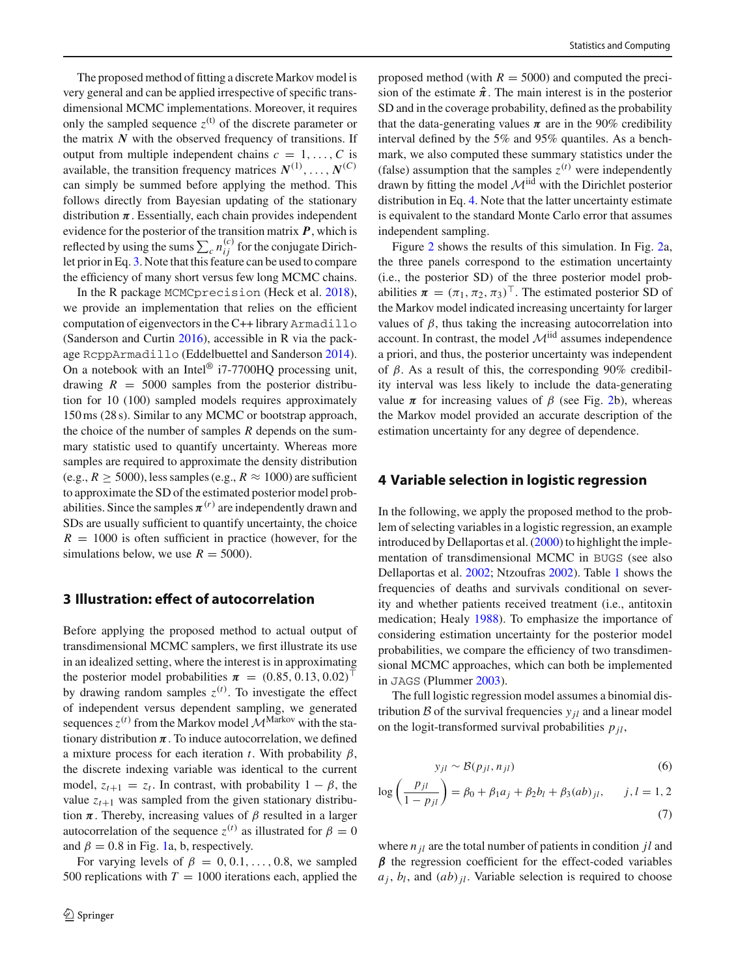The proposed method of fitting a discrete Markov model is very general and can be applied irrespective of specific transdimensional MCMC implementations. Moreover, it requires only the sampled sequence  $z^{(t)}$  of the discrete parameter or the matrix  $N$  with the observed frequency of transitions. If output from multiple independent chains  $c = 1, \ldots, C$  is available, the transition frequency matrices  $N^{(1)}, \ldots, N^{(C)}$ can simply be summed before applying the method. This follows directly from Bayesian updating of the stationary distribution  $\pi$ . Essentially, each chain provides independent evidence for the posterior of the transition matrix *P*, which is reflected by using the sums  $\sum_{i} n_{ij}^{(c)}$  for the conjugate Dirichlet prior in Eq. [3.](#page-2-2) Note that this feature can be used to compare the efficiency of many short versus few long MCMC chains.

In the R package MCMCprecision (Heck et al[.](#page-11-27) [2018](#page-11-27)), we provide an implementation that relies on the efficient computation of eigenvectors in the C++ library Armadillo (Sanderson and Curti[n](#page-11-28) [2016](#page-11-28)), accessible in R via the package RcppArmadillo (Eddelbuettel and Sanderso[n](#page-11-29) [2014](#page-11-29)). On a notebook with an Intel® i7-7700HQ processing unit, drawing  $R = 5000$  samples from the posterior distribution for 10 (100) sampled models requires approximately 150 ms (28 s). Similar to any MCMC or bootstrap approach, the choice of the number of samples *R* depends on the summary statistic used to quantify uncertainty. Whereas more samples are required to approximate the density distribution (e.g.,  $R \ge 5000$ ), less samples (e.g.,  $R \approx 1000$ ) are sufficient to approximate the SD of the estimated posterior model probabilities. Since the samples  $\pi^{(r)}$  are independently drawn and SDs are usually sufficient to quantify uncertainty, the choice  $R = 1000$  is often sufficient in practice (however, for the simulations below, we use  $R = 5000$ .

## <span id="page-5-0"></span>**3 Illustration: effect of autocorrelation**

Before applying the proposed method to actual output of transdimensional MCMC samplers, we first illustrate its use in an idealized setting, where the interest is in approximating the posterior model probabilities  $\pi = (0.85, 0.13, 0.02)^{\top}$ by drawing random samples  $z^{(t)}$ . To investigate the effect of independent versus dependent sampling, we generated sequences  $z^{(t)}$  from the Markov model  $\mathcal{M}^{\text{Markov}}$  with the stationary distribution  $\pi$ . To induce autocorrelation, we defined a mixture process for each iteration *t*. With probability  $\beta$ , the discrete indexing variable was identical to the current model,  $z_{t+1} = z_t$ . In contrast, with probability  $1 - \beta$ , the value  $z_{t+1}$  was sampled from the given stationary distribution  $\pi$ . Thereby, increasing values of  $\beta$  resulted in a larger autocorrelation of the sequence  $z^{(t)}$  as illustrated for  $\beta = 0$ and  $\beta = 0.8$  in Fig. [1a](#page-1-0), b, respectively.

For varying levels of  $\beta = 0, 0.1, \ldots, 0.8$ , we sampled 500 replications with  $T = 1000$  iterations each, applied the proposed method (with  $R = 5000$ ) and computed the precision of the estimate  $\hat{\pi}$ . The main interest is in the posterior SD and in the coverage probability, defined as the probability that the data-generating values  $\pi$  are in the 90% credibility interval defined by the 5% and 95% quantiles. As a benchmark, we also computed these summary statistics under the (false) assumption that the samples  $z^{(t)}$  were independently drawn by fitting the model  $\mathcal{M}$ <sup>iid</sup> with the Dirichlet posterior distribution in Eq. [4.](#page-4-1) Note that the latter uncertainty estimate is equivalent to the standard Monte Carlo error that assumes independent sampling.

Figure [2](#page-6-0) shows the results of this simulation. In Fig. [2a](#page-6-0), the three panels correspond to the estimation uncertainty (i.e., the posterior SD) of the three posterior model probabilities  $\boldsymbol{\pi} = (\pi_1, \pi_2, \pi_3)^\top$ . The estimated posterior SD of the Markov model indicated increasing uncertainty for larger values of  $\beta$ , thus taking the increasing autocorrelation into account. In contrast, the model  $\mathcal{M}$ <sup>iid</sup> assumes independence a priori, and thus, the posterior uncertainty was independent of  $\beta$ . As a result of this, the corresponding 90% credibility interval was less likely to include the data-generating value π for increasing values of  $β$  (see Fig. [2b](#page-6-0)), whereas the Markov model provided an accurate description of the estimation uncertainty for any degree of dependence.

#### <span id="page-5-1"></span>**4 Variable selection in logistic regression**

In the following, we apply the proposed method to the problem of selecting variables in a logistic regression, an example introduced by Dellaportas et al[.](#page-11-30) [\(2000\)](#page-11-30) to highlight the implementation of transdimensional MCMC in BUGS (see also Dellaportas et al[.](#page-11-31) [2002;](#page-11-31) Ntzoufra[s](#page-11-32) [2002](#page-11-32)). Table [1](#page-6-1) shows the frequencies of deaths and survivals conditional on severity and whether patients received treatment (i.e., antitoxin medication; Heal[y](#page-11-33) [1988\)](#page-11-33). To emphasize the importance of considering estimation uncertainty for the posterior model probabilities, we compare the efficiency of two transdimensional MCMC approaches, which can both be implemented in JAGS (Plumme[r](#page-11-34) [2003](#page-11-34)).

The full logistic regression model assumes a binomial distribution  $\beta$  of the survival frequencies  $y_{il}$  and a linear model on the logit-transformed survival probabilities  $p_{jl}$ ,

<span id="page-5-2"></span>
$$
y_{jl} \sim \mathcal{B}(p_{jl}, n_{jl})
$$
 (6)

$$
\log\left(\frac{p_{jl}}{1-p_{jl}}\right) = \beta_0 + \beta_1 a_j + \beta_2 b_l + \beta_3 (ab)_{jl}, \quad j, l = 1, 2
$$
\n(7)

where *n jl* are the total number of patients in condition *jl* and  $\beta$  the regression coefficient for the effect-coded variables  $a_j$ ,  $b_l$ , and  $(ab)_{jl}$ . Variable selection is required to choose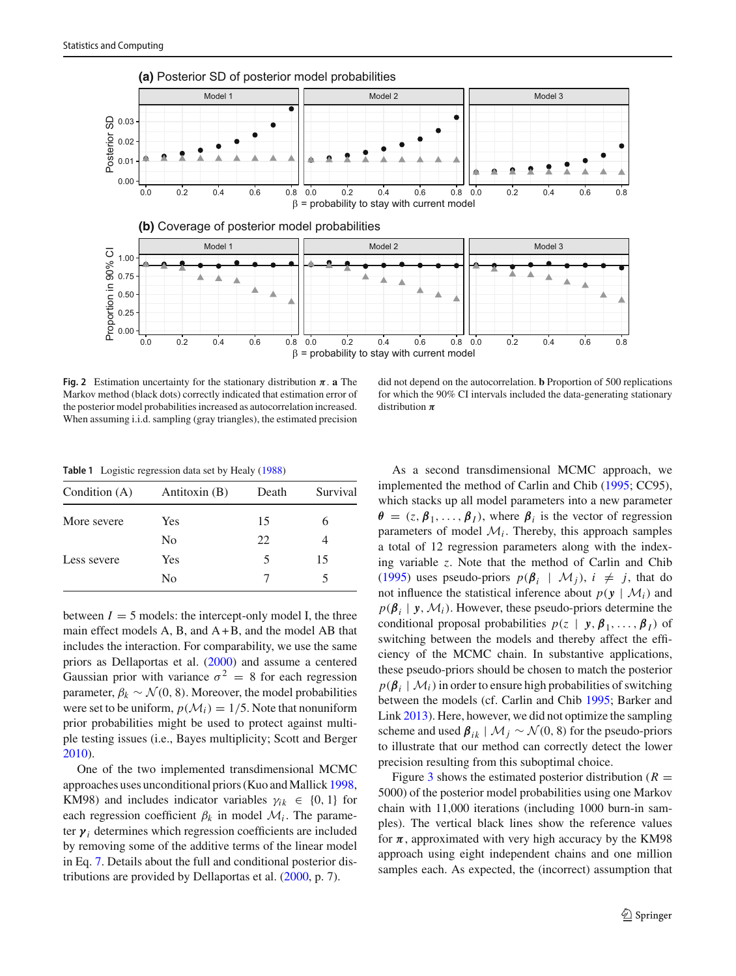

<span id="page-6-0"></span>**Fig. 2** Estimation uncertainty for the stationary distribution  $\pi$ . **a** The Markov method (black dots) correctly indicated that estimation error of the posterior model probabilities increased as autocorrelation increased. When assuming i.i.d. sampling (gray triangles), the estimated precision

did not depend on the autocorrelation. **b** Proportion of 500 replications for which the 90% CI intervals included the data-generating stationary distribution π

**Table 1** Logistic regression data set by Heal[y \(1988\)](#page-11-33)

<span id="page-6-1"></span>

| Antitoxin (B)  | Death           | Survival |  |  |
|----------------|-----------------|----------|--|--|
| Yes            | 15              | 6        |  |  |
| N <sub>0</sub> | 22              |          |  |  |
| Yes            | 5               | 15       |  |  |
| N <sub>0</sub> |                 |          |  |  |
|                | Condition $(A)$ |          |  |  |

between  $I = 5$  models: the intercept-only model I, the three main effect models  $A$ ,  $B$ , and  $A + B$ , and the model  $AB$  that includes the interaction. For comparability, we use the same priors as Dellaportas et al[. \(2000](#page-11-30)) and assume a centered Gaussian prior with variance  $\sigma^2 = 8$  for each regression parameter,  $\beta_k \sim \mathcal{N}(0, 8)$ . Moreover, the model probabilities were set to be uniform,  $p(\mathcal{M}_i) = 1/5$ . Note that nonuniform prior probabilities might be used to protect against multiple testing issues (i.e., Bayes multiplicity; Scott and Berge[r](#page-12-3) [2010\)](#page-12-3).

One of the two implemented transdimensional MCMC approaches uses unconditional priors (Kuo and Mallic[k](#page-11-35) [1998,](#page-11-35) KM98) and includes indicator variables  $\gamma_{ik} \in \{0, 1\}$  for each regression coefficient  $\beta_k$  in model  $\mathcal{M}_i$ . The parameter  $\gamma_i$  determines which regression coefficients are included by removing some of the additive terms of the linear model in Eq. [7.](#page-5-2) Details about the full and conditional posterior distributions are provided by Dellaportas et al. [\(2000,](#page-11-30) p. 7).

As a second transdimensional MCMC approach, we implemented the method of Carlin and Chib [\(1995;](#page-11-2) CC95), which stacks up all model parameters into a new parameter  $\theta = (z, \beta_1, \dots, \beta_I)$ , where  $\beta_i$  is the vector of regression parameters of model  $M_i$ . Thereby, this approach samples a total of 12 regression parameters along with the indexing variable *z*. Note that the method of Carlin and Chi[b](#page-11-2) [\(1995](#page-11-2)) uses pseudo-priors  $p(\beta_i | \mathcal{M}_j)$ ,  $i \neq j$ , that do not influence the statistical inference about  $p(y | \mathcal{M}_i)$  and  $p(\boldsymbol{\beta}_i | y, \mathcal{M}_i)$ . However, these pseudo-priors determine the conditional proposal probabilities  $p(z | y, \beta_1, ..., \beta_I)$  of switching between the models and thereby affect the efficiency of the MCMC chain. In substantive applications, these pseudo-priors should be chosen to match the posterior  $p(\boldsymbol{\beta}_i | \mathcal{M}_i)$  in order to ensure high probabilities of switching between the models (cf. Carlin and Chi[b](#page-11-2) [1995;](#page-11-2) Barker and Lin[k](#page-11-11) [2013\)](#page-11-11). Here, however, we did not optimize the sampling scheme and used  $\beta_{ik}$  |  $\mathcal{M}_i \sim \mathcal{N}(0, 8)$  for the pseudo-priors to illustrate that our method can correctly detect the lower precision resulting from this suboptimal choice.

Figure [3](#page-7-0) shows the estimated posterior distribution ( $R =$ 5000) of the posterior model probabilities using one Markov chain with 11,000 iterations (including 1000 burn-in samples). The vertical black lines show the reference values for  $\pi$ , approximated with very high accuracy by the KM98 approach using eight independent chains and one million samples each. As expected, the (incorrect) assumption that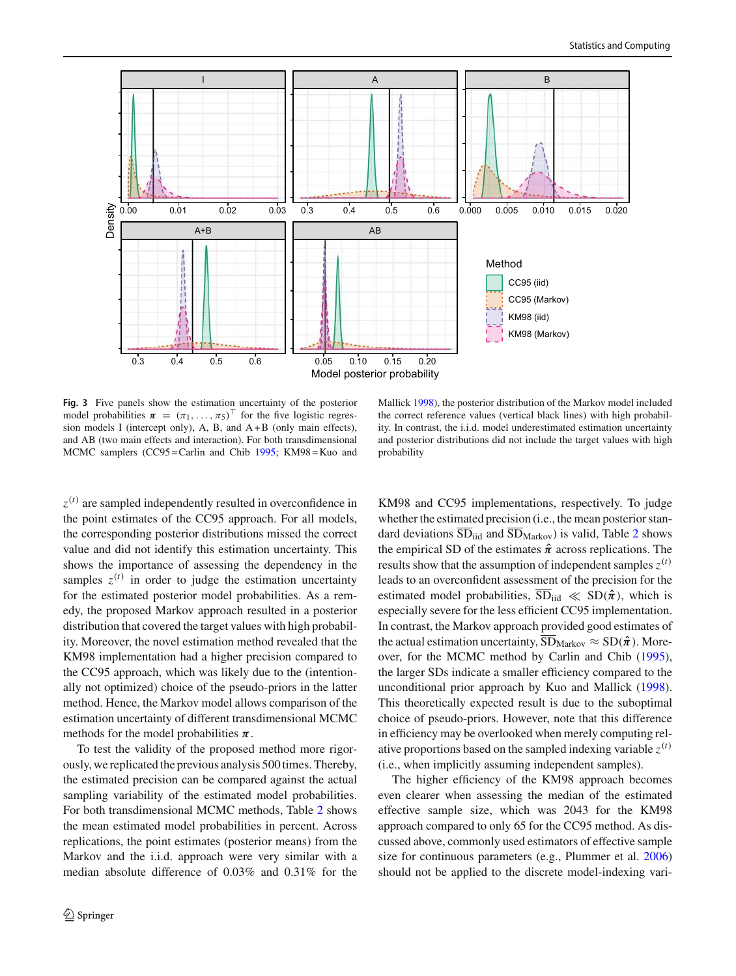

<span id="page-7-0"></span>**Fig. 3** Five panels show the estimation uncertainty of the posterior model probabilities  $\pi = (\pi_1, \dots, \pi_5)^\top$  for the five logistic regression models I (intercept only), A, B, and  $A + B$  (only main effects), and AB (two main effects and interaction). For both transdimensional MCMC samplers (CC95=Carlin and Chi[b](#page-11-2) [1995](#page-11-2); KM98=Kuo and

Mallic[k](#page-11-35) [1998](#page-11-35)), the posterior distribution of the Markov model included the correct reference values (vertical black lines) with high probability. In contrast, the i.i.d. model underestimated estimation uncertainty and posterior distributions did not include the target values with high probability

*z* (*t*) are sampled independently resulted in overconfidence in the point estimates of the CC95 approach. For all models, the corresponding posterior distributions missed the correct value and did not identify this estimation uncertainty. This shows the importance of assessing the dependency in the samples  $z^{(t)}$  in order to judge the estimation uncertainty for the estimated posterior model probabilities. As a remedy, the proposed Markov approach resulted in a posterior distribution that covered the target values with high probability. Moreover, the novel estimation method revealed that the KM98 implementation had a higher precision compared to the CC95 approach, which was likely due to the (intentionally not optimized) choice of the pseudo-priors in the latter method. Hence, the Markov model allows comparison of the estimation uncertainty of different transdimensional MCMC methods for the model probabilities  $\pi$ .

To test the validity of the proposed method more rigorously, we replicated the previous analysis 500 times. Thereby, the estimated precision can be compared against the actual sampling variability of the estimated model probabilities. For both transdimensional MCMC methods, Table [2](#page-8-0) shows the mean estimated model probabilities in percent. Across replications, the point estimates (posterior means) from the Markov and the i.i.d. approach were very similar with a median absolute difference of 0.03% and 0.31% for the

KM98 and CC95 implementations, respectively. To judge whether the estimated precision (i.e., the mean posterior standard deviations  $\overline{SD}_{\text{iid}}$  and  $\overline{SD}_{\text{Markov}}$ ) is valid, Table [2](#page-8-0) shows the empirical SD of the estimates  $\hat{\pi}$  across replications. The results show that the assumption of independent samples  $z^{(t)}$ leads to an overconfident assessment of the precision for the estimated model probabilities,  $\overline{SD}_{iid} \ll SD(\hat{\pi})$ , which is especially severe for the less efficient CC95 implementation. In contrast, the Markov approach provided good estimates of the actual estimation uncertainty,  $\overline{SD}_{Markov} \approx SD(\hat{\pi})$ . Moreover, for the MCMC method by Carlin and Chi[b](#page-11-2) [\(1995](#page-11-2)), the larger SDs indicate a smaller efficiency compared to the unconditional prior approach by Kuo and Mallic[k](#page-11-35) [\(1998](#page-11-35)). This theoretically expected result is due to the suboptimal choice of pseudo-priors. However, note that this difference in efficiency may be overlooked when merely computing relative proportions based on the sampled indexing variable  $z^{(t)}$ (i.e., when implicitly assuming independent samples).

The higher efficiency of the KM98 approach becomes even clearer when assessing the median of the estimated effective sample size, which was 2043 for the KM98 approach compared to only 65 for the CC95 method. As discussed above, commonly used estimators of effective sample size for continuous parameters (e.g., Plummer et al[.](#page-11-17) [2006\)](#page-11-17) should not be applied to the discrete model-indexing vari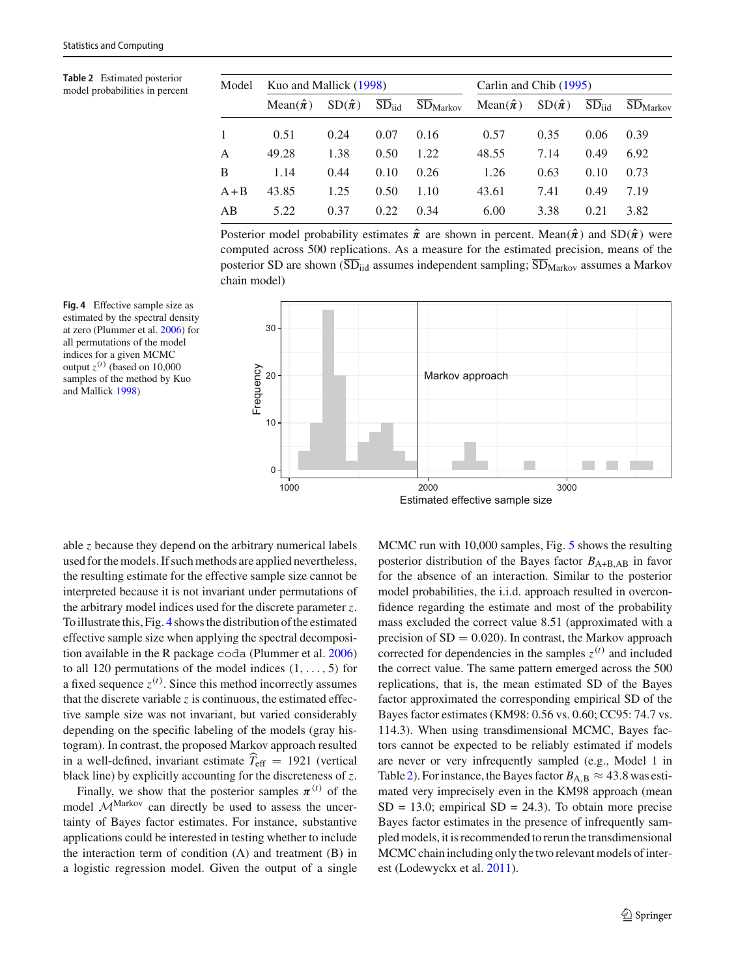<span id="page-8-0"></span>**Table 2** Estimated posterior model pro[b](#page-11-2)abilities in percent

| Model   | Kuo and Mallick (1998) |                 |            |                      | Carlin and Chib (1995) |                 |            |                      |  |  |
|---------|------------------------|-----------------|------------|----------------------|------------------------|-----------------|------------|----------------------|--|--|
|         | Mean $(\hat{\pi})$     | $SD(\hat{\pi})$ | $SD_{iid}$ | SD <sub>Markov</sub> | Mean $(\hat{\pi})$     | $SD(\hat{\pi})$ | $SD_{iid}$ | SD <sub>Markov</sub> |  |  |
| 1       | 0.51                   | 0.24            | 0.07       | 0.16                 | 0.57                   | 0.35            | 0.06       | 0.39                 |  |  |
| A       | 49.28                  | 1.38            | 0.50       | 1.22                 | 48.55                  | 7.14            | 0.49       | 6.92                 |  |  |
| B       | 1.14                   | 0.44            | 0.10       | 0.26                 | 1.26                   | 0.63            | 0.10       | 0.73                 |  |  |
| $A + B$ | 43.85                  | 1.25            | 0.50       | 1.10                 | 43.61                  | 7.41            | 0.49       | 7.19                 |  |  |
| AB      | 5.22                   | 0.37            | 0.22       | 0.34                 | 6.00                   | 3.38            | 0.21       | 3.82                 |  |  |

Posterior model probability estimates  $\hat{\pi}$  are shown in percent. Mean( $\hat{\pi}$ ) and SD( $\hat{\pi}$ ) were computed across 500 replications. As a measure for the estimated precision, means of the posterior SD are shown  $\overline{SD}_{iid}$  assumes independent sampling;  $\overline{SD}_{Markov}$  assumes a Markov chain model)



<span id="page-8-1"></span>**Fig. 4** Effective sample size as estimated by the spectral density at zero (Plummer et al[.](#page-11-17) [2006\)](#page-11-17) for all permutations of the model indices for a given MCMC output  $z^{(t)}$  (based on 10,000 samples of the method by Kuo and Mallic[k](#page-11-35) [1998\)](#page-11-35)

able *z* because they depend on the arbitrary numerical labels used for the models. If such methods are applied nevertheless, the resulting estimate for the effective sample size cannot be interpreted because it is not invariant under permutations of the arbitrary model indices used for the discrete parameter *z*. To illustrate this, Fig. [4](#page-8-1) shows the distribution of the estimated effective sample size when applying the spectral decomposition available in the R package coda (Plummer et al[.](#page-11-17) [2006\)](#page-11-17) to all 120 permutations of the model indices  $(1, \ldots, 5)$  for a fixed sequence  $z^{(t)}$ . Since this method incorrectly assumes that the discrete variable *z* is continuous, the estimated effective sample size was not invariant, but varied considerably depending on the specific labeling of the models (gray histogram). In contrast, the proposed Markov approach resulted in a well-defined, invariant estimate  $T_{\text{eff}} = 1921$  (vertical black line) by explicitly accounting for the discreteness of *z*.

Finally, we show that the posterior samples  $\pi^{(t)}$  of the model  $M^{\text{Markov}}$  can directly be used to assess the uncertainty of Bayes factor estimates. For instance, substantive applications could be interested in testing whether to include the interaction term of condition (A) and treatment (B) in a logistic regression model. Given the output of a single MCMC run with 10,000 samples, Fig. [5](#page-9-1) shows the resulting posterior distribution of the Bayes factor  $B_{A+B,AB}$  in favor for the absence of an interaction. Similar to the posterior model probabilities, the i.i.d. approach resulted in overconfidence regarding the estimate and most of the probability mass excluded the correct value 8.51 (approximated with a precision of  $SD = 0.020$ . In contrast, the Markov approach corrected for dependencies in the samples  $z^{(t)}$  and included the correct value. The same pattern emerged across the 500 replications, that is, the mean estimated SD of the Bayes factor approximated the corresponding empirical SD of the Bayes factor estimates (KM98: 0.56 vs. 0.60; CC95: 74.7 vs. 114.3). When using transdimensional MCMC, Bayes factors cannot be expected to be reliably estimated if models are never or very infrequently sampled (e.g., Model 1 in Table [2\)](#page-8-0). For instance, the Bayes factor  $B_{A,B} \approx 43.8$  was estimated very imprecisely even in the KM98 approach (mean  $SD = 13.0$ ; empirical  $SD = 24.3$ ). To obtain more precise Bayes factor estimates in the presence of infrequently sampled models, it is recommended to rerun the transdimensional MCMC chain including only the two relevant models of interest (Lodewyckx et al[.](#page-11-9) [2011](#page-11-9)).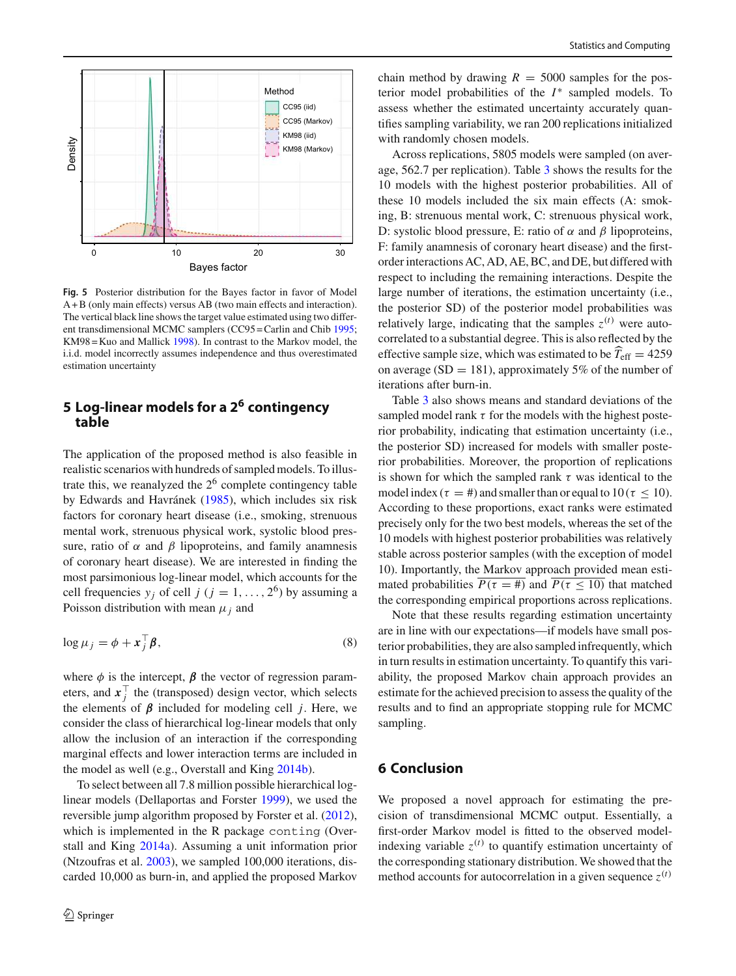

<span id="page-9-1"></span>**Fig. 5** Posterior distribution for the Bayes factor in favor of Model A + B (only main effects) versus AB (two main effects and interaction). The vertical black line shows the target value estimated using two different transdimensional MCMC samplers (CC95 = Carlin and Chi[b](#page-11-2) [1995;](#page-11-2) KM98 = Kuo and Mallic[k](#page-11-35) [1998](#page-11-35)). In contrast to the Markov model, the i.i.d. model incorrectly assumes independence and thus overestimated estimation uncertainty

# <span id="page-9-0"></span>**5 Log-linear models for a 2<sup>6</sup> contingency table**

The application of the proposed method is also feasible in realistic scenarios with hundreds of sampled models. To illustrate this, we reanalyzed the  $2<sup>6</sup>$  complete contingency table by Edwards and Havráne[k](#page-11-36) [\(1985\)](#page-11-36), which includes six risk factors for coronary heart disease (i.e., smoking, strenuous mental work, strenuous physical work, systolic blood pressure, ratio of  $\alpha$  and  $\beta$  lipoproteins, and family anamnesis of coronary heart disease). We are interested in finding the most parsimonious log-linear model, which accounts for the cell frequencies  $y_j$  of cell  $j$  ( $j = 1, ..., 2^6$ ) by assuming a Poisson distribution with mean  $\mu_i$  and

$$
\log \mu_j = \phi + \mathbf{x}_j^\top \boldsymbol{\beta},\tag{8}
$$

where  $\phi$  is the intercept,  $\beta$  the vector of regression parameters, and  $x_j^{\top}$  the (transposed) design vector, which selects the elements of  $\beta$  included for modeling cell *j*. Here, we consider the class of hierarchical log-linear models that only allow the inclusion of an interaction if the corresponding marginal effects and lower interaction terms are included in the model as well (e.g., Overstall and Kin[g](#page-11-37) [2014b](#page-11-37)).

To select between all 7.8 million possible hierarchical loglinear models (Dellaportas and Forste[r](#page-11-38) [1999](#page-11-38)), we used the reversible jump algorithm proposed by Forster et al[. \(2012](#page-11-4)), which is implemented in the R package conting (Overstall and Kin[g](#page-11-39) [2014a\)](#page-11-39). Assuming a unit information prior (Ntzoufras et al[.](#page-11-40) [2003](#page-11-40)), we sampled 100,000 iterations, discarded 10,000 as burn-in, and applied the proposed Markov chain method by drawing  $R = 5000$  samples for the posterior model probabilities of the *I* ∗ sampled models. To assess whether the estimated uncertainty accurately quantifies sampling variability, we ran 200 replications initialized with randomly chosen models.

Across replications, 5805 models were sampled (on average, 562.7 per replication). Table [3](#page-10-0) shows the results for the 10 models with the highest posterior probabilities. All of these 10 models included the six main effects (A: smoking, B: strenuous mental work, C: strenuous physical work, D: systolic blood pressure, E: ratio of  $\alpha$  and  $\beta$  lipoproteins, F: family anamnesis of coronary heart disease) and the firstorder interactions AC, AD, AE, BC, and DE, but differed with respect to including the remaining interactions. Despite the large number of iterations, the estimation uncertainty (i.e., the posterior SD) of the posterior model probabilities was relatively large, indicating that the samples  $z^{(t)}$  were autocorrelated to a substantial degree. This is also reflected by the effective sample size, which was estimated to be  $T_{\text{eff}} = 4259$ on average ( $SD = 181$ ), approximately 5% of the number of iterations after burn-in.

Table [3](#page-10-0) also shows means and standard deviations of the sampled model rank  $\tau$  for the models with the highest posterior probability, indicating that estimation uncertainty (i.e., the posterior SD) increased for models with smaller posterior probabilities. Moreover, the proportion of replications is shown for which the sampled rank  $\tau$  was identical to the model index ( $\tau = \text{\#}$ ) and smaller than or equal to  $10(\tau \le 10)$ . According to these proportions, exact ranks were estimated precisely only for the two best models, whereas the set of the 10 models with highest posterior probabilities was relatively stable across posterior samples (with the exception of model 10). Importantly, the Markov approach provided mean estimated probabilities  $\overline{P(\tau = \#)}$  and  $\overline{P(\tau \le 10)}$  that matched the corresponding empirical proportions across replications.

Note that these results regarding estimation uncertainty are in line with our expectations—if models have small posterior probabilities, they are also sampled infrequently, which in turn results in estimation uncertainty. To quantify this variability, the proposed Markov chain approach provides an estimate for the achieved precision to assess the quality of the results and to find an appropriate stopping rule for MCMC sampling.

# **6 Conclusion**

We proposed a novel approach for estimating the precision of transdimensional MCMC output. Essentially, a first-order Markov model is fitted to the observed modelindexing variable  $z^{(t)}$  to quantify estimation uncertainty of the corresponding stationary distribution. We showed that the method accounts for autocorrelation in a given sequence  $z^{(t)}$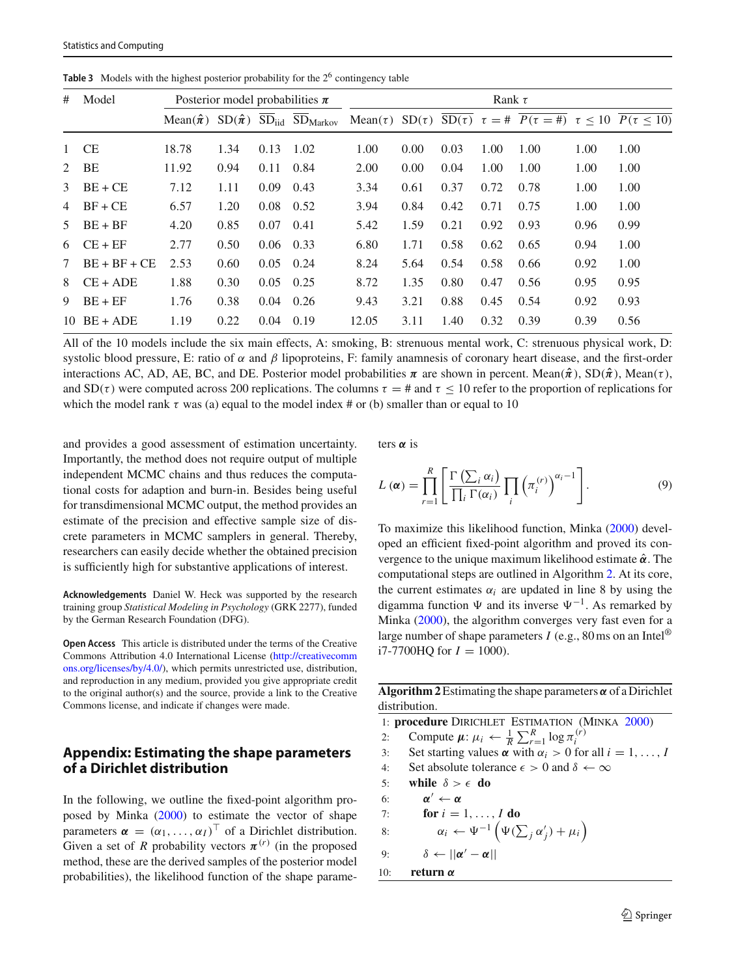<span id="page-10-0"></span>

| #              | Model          | Posterior model probabilities $\pi$ |      |      |      | Rank $\tau$ |      |      |      |      |      |                                                                                                                                                                          |
|----------------|----------------|-------------------------------------|------|------|------|-------------|------|------|------|------|------|--------------------------------------------------------------------------------------------------------------------------------------------------------------------------|
|                |                |                                     |      |      |      |             |      |      |      |      |      | Mean $(\hat{\pi})$ SD $(\hat{\pi})$ SD <sub>iid</sub> SD <sub>Markov</sub> Mean $(\tau)$ SD $(\tau)$ SD $(\tau)$ $\tau = \# P(\tau = \#)$ $\tau \le 10$ $P(\tau \le 10)$ |
| $\mathbf{1}$   | <b>CE</b>      | 18.78                               | 1.34 | 0.13 | 1.02 | 1.00        | 0.00 | 0.03 | 1.00 | 1.00 | 1.00 | 1.00                                                                                                                                                                     |
| $2^{\circ}$    | BE             | 11.92                               | 0.94 | 0.11 | 0.84 | 2.00        | 0.00 | 0.04 | 1.00 | 1.00 | 1.00 | 1.00                                                                                                                                                                     |
| 3              | $BE + CE$      | 7.12                                | 1.11 | 0.09 | 0.43 | 3.34        | 0.61 | 0.37 | 0.72 | 0.78 | 1.00 | 1.00                                                                                                                                                                     |
| 4              | $BF + CE$      | 6.57                                | 1.20 | 0.08 | 0.52 | 3.94        | 0.84 | 0.42 | 0.71 | 0.75 | 1.00 | 1.00                                                                                                                                                                     |
| 5              | $BE + BF$      | 4.20                                | 0.85 | 0.07 | 0.41 | 5.42        | 1.59 | 0.21 | 0.92 | 0.93 | 0.96 | 0.99                                                                                                                                                                     |
| 6              | $CE + EF$      | 2.77                                | 0.50 | 0.06 | 0.33 | 6.80        | 1.71 | 0.58 | 0.62 | 0.65 | 0.94 | 1.00                                                                                                                                                                     |
| $7\phantom{0}$ | $BE + BF + CE$ | 2.53                                | 0.60 | 0.05 | 0.24 | 8.24        | 5.64 | 0.54 | 0.58 | 0.66 | 0.92 | 1.00                                                                                                                                                                     |
| 8              | $CE + ADE$     | 1.88                                | 0.30 | 0.05 | 0.25 | 8.72        | 1.35 | 0.80 | 0.47 | 0.56 | 0.95 | 0.95                                                                                                                                                                     |
| 9              | $BE + EF$      | 1.76                                | 0.38 | 0.04 | 0.26 | 9.43        | 3.21 | 0.88 | 0.45 | 0.54 | 0.92 | 0.93                                                                                                                                                                     |
| 10             | $BE + ADE$     | 1.19                                | 0.22 | 0.04 | 0.19 | 12.05       | 3.11 | 1.40 | 0.32 | 0.39 | 0.39 | 0.56                                                                                                                                                                     |

**Table 3** Models with the highest posterior probability for the  $2<sup>6</sup>$  contingency table

All of the 10 models include the six main effects, A: smoking, B: strenuous mental work, C: strenuous physical work, D: systolic blood pressure, E: ratio of  $\alpha$  and  $\beta$  lipoproteins, F: family anamnesis of coronary heart disease, and the first-order interactions AC, AD, AE, BC, and DE. Posterior model probabilities  $\pi$  are shown in percent. Mean $(\hat{\pi})$ , SD $(\hat{\pi})$ , Mean $(\tau)$ , and  $SD(\tau)$  were computed across 200 replications. The columns  $\tau = \frac{\pi}{4}$  and  $\tau \leq 10$  refer to the proportion of replications for which the model rank  $\tau$  was (a) equal to the model index # or (b) smaller than or equal to 10

and provides a good assessment of estimation uncertainty. Importantly, the method does not require output of multiple independent MCMC chains and thus reduces the computational costs for adaption and burn-in. Besides being useful for transdimensional MCMC output, the method provides an estimate of the precision and effective sample size of discrete parameters in MCMC samplers in general. Thereby, researchers can easily decide whether the obtained precision is sufficiently high for substantive applications of interest.

**Acknowledgements** Daniel W. Heck was supported by the research training group *Statistical Modeling in Psychology* (GRK 2277), funded by the German Research Foundation (DFG).

**Open Access** This article is distributed under the terms of the Creative Commons Attribution 4.0 International License [\(http://creativecomm](http://creativecommons.org/licenses/by/4.0/) [ons.org/licenses/by/4.0/\)](http://creativecommons.org/licenses/by/4.0/), which permits unrestricted use, distribution, and reproduction in any medium, provided you give appropriate credit to the original author(s) and the source, provide a link to the Creative Commons license, and indicate if changes were made.

### **Appendix: Estimating the shape parameters of a Dirichlet distribution**

In the following, we outline the fixed-point algorithm proposed by Mink[a \(2000\)](#page-11-23) to estimate the vector of shape parameters  $\boldsymbol{\alpha} = (\alpha_1, \dots, \alpha_I)^\top$  of a Dirichlet distribution. Given a set of *R* probability vectors  $\pi^{(r)}$  (in the proposed method, these are the derived samples of the posterior model probabilities), the likelihood function of the shape parameters  $\alpha$  is

$$
L(\boldsymbol{\alpha}) = \prod_{r=1}^{R} \left[ \frac{\Gamma\left(\sum_{i} \alpha_{i}\right)}{\prod_{i} \Gamma(\alpha_{i})} \prod_{i} \left(\pi_{i}^{(r)}\right)^{\alpha_{i}-1} \right]. \tag{9}
$$

To maximize this likelihood function, Mink[a](#page-11-23) [\(2000](#page-11-23)) developed an efficient fixed-point algorithm and proved its convergence to the unique maximum likelihood estimate  $\hat{\alpha}$ . The computational steps are outlined in Algorithm [2.](#page-10-1) At its core, the current estimates  $\alpha_i$  are updated in line 8 by using the digamma function  $\Psi$  and its inverse  $\Psi^{-1}$ . As remarked by Mink[a \(2000](#page-11-23)), the algorithm converges very fast even for a large number of shape parameters  $I$  (e.g., 80 ms on an Intel<sup>®</sup>)  $i7-7700HQ$  for  $I = 1000$ ).

<span id="page-10-1"></span>**Algorithm 2** Estimating the shape parameters  $\alpha$  of a Dirichlet distribution.

1: **procedure** Dirichlet Estimation (Mink[a](#page-11-23) [2000\)](#page-11-23) 2: Compute  $\mu: \mu_i \leftarrow \frac{1}{R} \sum_{r=1}^R \log \pi_i^{(r)}$ *i* 3: Set starting values  $\alpha$  with  $\alpha_i > 0$  for all  $i = 1, \ldots, I$ 4: Set absolute tolerance  $\epsilon > 0$  and  $\delta \leftarrow \infty$ 5: **while**  $\delta > \epsilon$  **do** 6:  $\alpha' \leftarrow \alpha$ 7: **for**  $i = 1, ..., I$  **do** 8:  $\alpha_i \leftarrow \Psi^{-1} \left( \Psi(\sum_j \alpha'_j) + \mu_i \right)$ 9:  $\delta \leftarrow ||\boldsymbol{\alpha}' - \boldsymbol{\alpha}||$ 

10: **return** α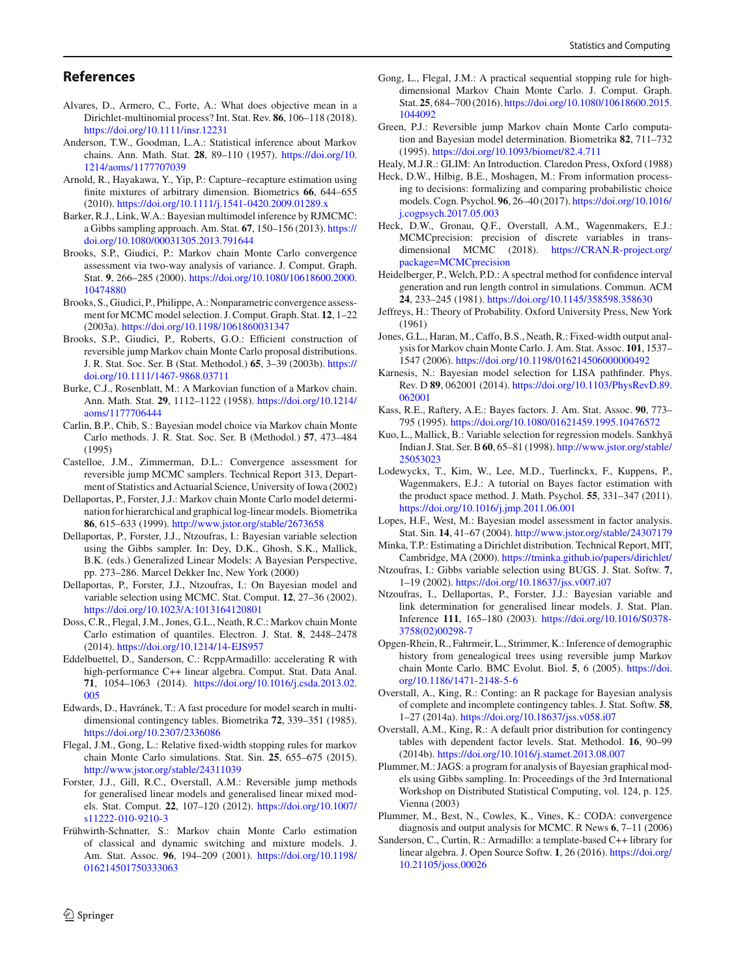#### **References**

- <span id="page-11-24"></span>Alvares, D., Armero, C., Forte, A.: What does objective mean in a Dirichlet-multinomial process? Int. Stat. Rev. **86**, 106–118 (2018). <https://doi.org/10.1111/insr.12231>
- <span id="page-11-22"></span>Anderson, T.W., Goodman, L.A.: Statistical inference about Markov chains. Ann. Math. Stat. **28**, 89–110 (1957). [https://doi.org/10.](https://doi.org/10.1214/aoms/1177707039) [1214/aoms/1177707039](https://doi.org/10.1214/aoms/1177707039)
- <span id="page-11-3"></span>Arnold, R., Hayakawa, Y., Yip, P.: Capture–recapture estimation using finite mixtures of arbitrary dimension. Biometrics **66**, 644–655 (2010). <https://doi.org/10.1111/j.1541-0420.2009.01289.x>
- <span id="page-11-11"></span>Barker, R.J., Link, W.A.: Bayesian multimodel inference by RJMCMC: a Gibbs sampling approach. Am. Stat. **67**, 150–156 (2013). [https://](https://doi.org/10.1080/00031305.2013.791644) [doi.org/10.1080/00031305.2013.791644](https://doi.org/10.1080/00031305.2013.791644)
- <span id="page-11-19"></span>Brooks, S.P., Giudici, P.: Markov chain Monte Carlo convergence assessment via two-way analysis of variance. J. Comput. Graph. Stat. **9**, 266–285 (2000). [https://doi.org/10.1080/10618600.2000.](https://doi.org/10.1080/10618600.2000.10474880) [10474880](https://doi.org/10.1080/10618600.2000.10474880)
- <span id="page-11-21"></span>Brooks, S., Giudici, P., Philippe, A.: Nonparametric convergence assessment for MCMC model selection. J. Comput. Graph. Stat. **12**, 1–22 (2003a). <https://doi.org/10.1198/1061860031347>
- <span id="page-11-26"></span>Brooks, S.P., Giudici, P., Roberts, G.O.: Efficient construction of reversible jump Markov chain Monte Carlo proposal distributions. J. R. Stat. Soc. Ser. B (Stat. Methodol.) **65**, 3–39 (2003b). [https://](https://doi.org/10.1111/1467-9868.03711) [doi.org/10.1111/1467-9868.03711](https://doi.org/10.1111/1467-9868.03711)
- <span id="page-11-25"></span>Burke, C.J., Rosenblatt, M.: A Markovian function of a Markov chain. Ann. Math. Stat. **29**, 1112–1122 (1958). [https://doi.org/10.1214/](https://doi.org/10.1214/aoms/1177706444) [aoms/1177706444](https://doi.org/10.1214/aoms/1177706444)
- <span id="page-11-2"></span>Carlin, B.P., Chib, S.: Bayesian model choice via Markov chain Monte Carlo methods. J. R. Stat. Soc. Ser. B (Methodol.) **57**, 473–484 (1995)
- <span id="page-11-20"></span>Castelloe, J.M., Zimmerman, D.L.: Convergence assessment for reversible jump MCMC samplers. Technical Report 313, Department of Statistics and Actuarial Science, University of Iowa (2002)
- <span id="page-11-38"></span>Dellaportas, P., Forster, J.J.: Markov chain Monte Carlo model determination for hierarchical and graphical log-linear models. Biometrika **86**, 615–633 (1999). <http://www.jstor.org/stable/2673658>
- <span id="page-11-30"></span>Dellaportas, P., Forster, J.J., Ntzoufras, I.: Bayesian variable selection using the Gibbs sampler. In: Dey, D.K., Ghosh, S.K., Mallick, B.K. (eds.) Generalized Linear Models: A Bayesian Perspective, pp. 273–286. Marcel Dekker Inc, New York (2000)
- <span id="page-11-31"></span>Dellaportas, P., Forster, J.J., Ntzoufras, I.: On Bayesian model and variable selection using MCMC. Stat. Comput. **12**, 27–36 (2002). <https://doi.org/10.1023/A:1013164120801>
- <span id="page-11-14"></span>Doss, C.R., Flegal, J.M., Jones, G.L., Neath, R.C.: Markov chain Monte Carlo estimation of quantiles. Electron. J. Stat. **8**, 2448–2478 (2014). <https://doi.org/10.1214/14-EJS957>
- <span id="page-11-29"></span>Eddelbuettel, D., Sanderson, C.: RcppArmadillo: accelerating R with high-performance C++ linear algebra. Comput. Stat. Data Anal. **71**, 1054–1063 (2014). [https://doi.org/10.1016/j.csda.2013.02.](https://doi.org/10.1016/j.csda.2013.02.005) [005](https://doi.org/10.1016/j.csda.2013.02.005)
- <span id="page-11-36"></span>Edwards, D., Havránek, T.: A fast procedure for model search in multidimensional contingency tables. Biometrika **72**, 339–351 (1985). <https://doi.org/10.2307/2336086>
- <span id="page-11-13"></span>Flegal, J.M., Gong, L.: Relative fixed-width stopping rules for markov chain Monte Carlo simulations. Stat. Sin. **25**, 655–675 (2015). <http://www.jstor.org/stable/24311039>
- <span id="page-11-4"></span>Forster, J.J., Gill, R.C., Overstall, A.M.: Reversible jump methods for generalised linear models and generalised linear mixed models. Stat. Comput. **22**, 107–120 (2012). [https://doi.org/10.1007/](https://doi.org/10.1007/s11222-010-9210-3) [s11222-010-9210-3](https://doi.org/10.1007/s11222-010-9210-3)
- <span id="page-11-6"></span>Frühwirth-Schnatter, S.: Markov chain Monte Carlo estimation of classical and dynamic switching and mixture models. J. Am. Stat. Assoc. **96**, 194–209 (2001). [https://doi.org/10.1198/](https://doi.org/10.1198/016214501750333063) [016214501750333063](https://doi.org/10.1198/016214501750333063)
- <span id="page-11-16"></span>Gong, L., Flegal, J.M.: A practical sequential stopping rule for highdimensional Markov Chain Monte Carlo. J. Comput. Graph. Stat. **25**, 684–700 (2016). [https://doi.org/10.1080/10618600.2015.](https://doi.org/10.1080/10618600.2015.1044092) [1044092](https://doi.org/10.1080/10618600.2015.1044092)
- <span id="page-11-1"></span>Green, P.J.: Reversible jump Markov chain Monte Carlo computation and Bayesian model determination. Biometrika **82**, 711–732 (1995). <https://doi.org/10.1093/biomet/82.4.711>
- <span id="page-11-33"></span>Healy, M.J.R.: GLIM: An Introduction. Claredon Press, Oxford (1988)
- <span id="page-11-10"></span>Heck, D.W., Hilbig, B.E., Moshagen, M.: From information processing to decisions: formalizing and comparing probabilistic choice models. Cogn. Psychol. **96**, 26–40 (2017). [https://doi.org/10.1016/](https://doi.org/10.1016/j.cogpsych.2017.05.003) [j.cogpsych.2017.05.003](https://doi.org/10.1016/j.cogpsych.2017.05.003)
- <span id="page-11-27"></span>Heck, D.W., Gronau, Q.F., Overstall, A.M., Wagenmakers, E.J.: MCMCprecision: precision of discrete variables in transdimensional MCMC (2018). [https://CRAN.R-project.org/](https://CRAN.R-project.org/package=MCMCprecision) [package=MCMCprecision](https://CRAN.R-project.org/package=MCMCprecision)
- <span id="page-11-18"></span>Heidelberger, P., Welch, P.D.: A spectral method for confidence interval generation and run length control in simulations. Commun. ACM **24**, 233–245 (1981). <https://doi.org/10.1145/358598.358630>
- <span id="page-11-15"></span>Jeffreys, H.: Theory of Probability. Oxford University Press, New York (1961)
- <span id="page-11-12"></span>Jones, G.L., Haran, M., Caffo, B.S., Neath, R.: Fixed-width output analysis for Markov chain Monte Carlo. J. Am. Stat. Assoc. **101**, 1537– 1547 (2006). <https://doi.org/10.1198/016214506000000492>
- <span id="page-11-8"></span>Karnesis, N.: Bayesian model selection for LISA pathfinder. Phys. Rev. D **89**, 062001 (2014). [https://doi.org/10.1103/PhysRevD.89.](https://doi.org/10.1103/PhysRevD.89.062001) [062001](https://doi.org/10.1103/PhysRevD.89.062001)
- <span id="page-11-0"></span>Kass, R.E., Raftery, A.E.: Bayes factors. J. Am. Stat. Assoc. **90**, 773– 795 (1995). <https://doi.org/10.1080/01621459.1995.10476572>
- <span id="page-11-35"></span>Kuo, L., Mallick, B.: Variable selection for regression models. Sankhyā Indian J. Stat. Ser. B**60**, 65–81 (1998). [http://www.jstor.org/stable/](http://www.jstor.org/stable/25053023) [25053023](http://www.jstor.org/stable/25053023)
- <span id="page-11-9"></span>Lodewyckx, T., Kim, W., Lee, M.D., Tuerlinckx, F., Kuppens, P., Wagenmakers, E.J.: A tutorial on Bayes factor estimation with the product space method. J. Math. Psychol. **55**, 331–347 (2011). <https://doi.org/10.1016/j.jmp.2011.06.001>
- <span id="page-11-5"></span>Lopes, H.F., West, M.: Bayesian model assessment in factor analysis. Stat. Sin. **14**, 41–67 (2004). <http://www.jstor.org/stable/24307179>
- <span id="page-11-23"></span>Minka, T.P.: Estimating a Dirichlet distribution. Technical Report, MIT, Cambridge, MA (2000). <https://tminka.github.io/papers/dirichlet/>
- <span id="page-11-32"></span>Ntzoufras, I.: Gibbs variable selection using BUGS. J. Stat. Softw. **7**, 1–19 (2002). <https://doi.org/10.18637/jss.v007.i07>
- <span id="page-11-40"></span>Ntzoufras, I., Dellaportas, P., Forster, J.J.: Bayesian variable and link determination for generalised linear models. J. Stat. Plan. Inference **111**, 165–180 (2003). [https://doi.org/10.1016/S0378-](https://doi.org/10.1016/S0378-3758(02)00298-7) [3758\(02\)00298-7](https://doi.org/10.1016/S0378-3758(02)00298-7)
- <span id="page-11-7"></span>Opgen-Rhein, R., Fahrmeir, L., Strimmer, K.: Inference of demographic history from genealogical trees using reversible jump Markov chain Monte Carlo. BMC Evolut. Biol. **5**, 6 (2005). [https://doi.](https://doi.org/10.1186/1471-2148-5-6) [org/10.1186/1471-2148-5-6](https://doi.org/10.1186/1471-2148-5-6)
- <span id="page-11-39"></span>Overstall, A., King, R.: Conting: an R package for Bayesian analysis of complete and incomplete contingency tables. J. Stat. Softw. **58**, 1–27 (2014a). <https://doi.org/10.18637/jss.v058.i07>
- <span id="page-11-37"></span>Overstall, A.M., King, R.: A default prior distribution for contingency tables with dependent factor levels. Stat. Methodol. **16**, 90–99 (2014b). <https://doi.org/10.1016/j.stamet.2013.08.007>
- <span id="page-11-34"></span>Plummer, M.: JAGS: a program for analysis of Bayesian graphical models using Gibbs sampling. In: Proceedings of the 3rd International Workshop on Distributed Statistical Computing, vol. 124, p. 125. Vienna (2003)
- <span id="page-11-17"></span>Plummer, M., Best, N., Cowles, K., Vines, K.: CODA: convergence diagnosis and output analysis for MCMC. R News **6**, 7–11 (2006)
- <span id="page-11-28"></span>Sanderson, C., Curtin, R.: Armadillo: a template-based C++ library for linear algebra. J. Open Source Softw. **1**, 26 (2016). [https://doi.org/](https://doi.org/10.21105/joss.00026) [10.21105/joss.00026](https://doi.org/10.21105/joss.00026)